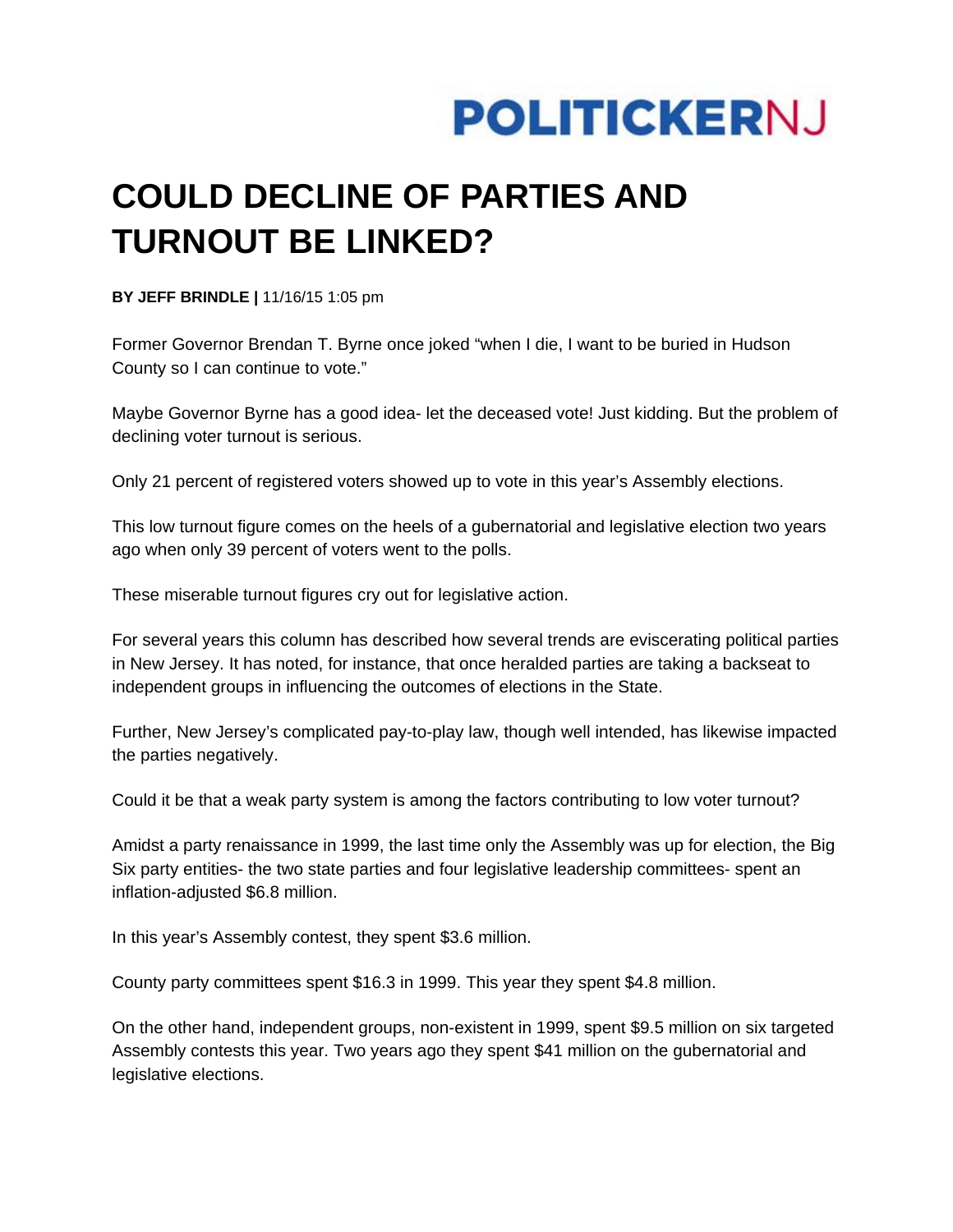

## **COULD DECLINE OF PARTIES AND TURNOUT BE LINKED?**

**BY JEFF BRINDLE |** 11/16/15 1:05 pm

Former Governor Brendan T. Byrne once joked "when I die, I want to be buried in Hudson County so I can continue to vote."

Maybe Governor Byrne has a good idea- let the deceased vote! Just kidding. But the problem of declining voter turnout is serious.

Only 21 percent of registered voters showed up to vote in this year's Assembly elections.

This low turnout figure comes on the heels of a gubernatorial and legislative election two years ago when only 39 percent of voters went to the polls.

These miserable turnout figures cry out for legislative action.

For several years this column has described how several trends are eviscerating political parties in New Jersey. It has noted, for instance, that once heralded parties are taking a backseat to independent groups in influencing the outcomes of elections in the State.

Further, New Jersey's complicated pay-to-play law, though well intended, has likewise impacted the parties negatively.

Could it be that a weak party system is among the factors contributing to low voter turnout?

Amidst a party renaissance in 1999, the last time only the Assembly was up for election, the Big Six party entities- the two state parties and four legislative leadership committees- spent an inflation-adjusted \$6.8 million.

In this year's Assembly contest, they spent \$3.6 million.

County party committees spent \$16.3 in 1999. This year they spent \$4.8 million.

On the other hand, independent groups, non-existent in 1999, spent \$9.5 million on six targeted Assembly contests this year. Two years ago they spent \$41 million on the gubernatorial and legislative elections.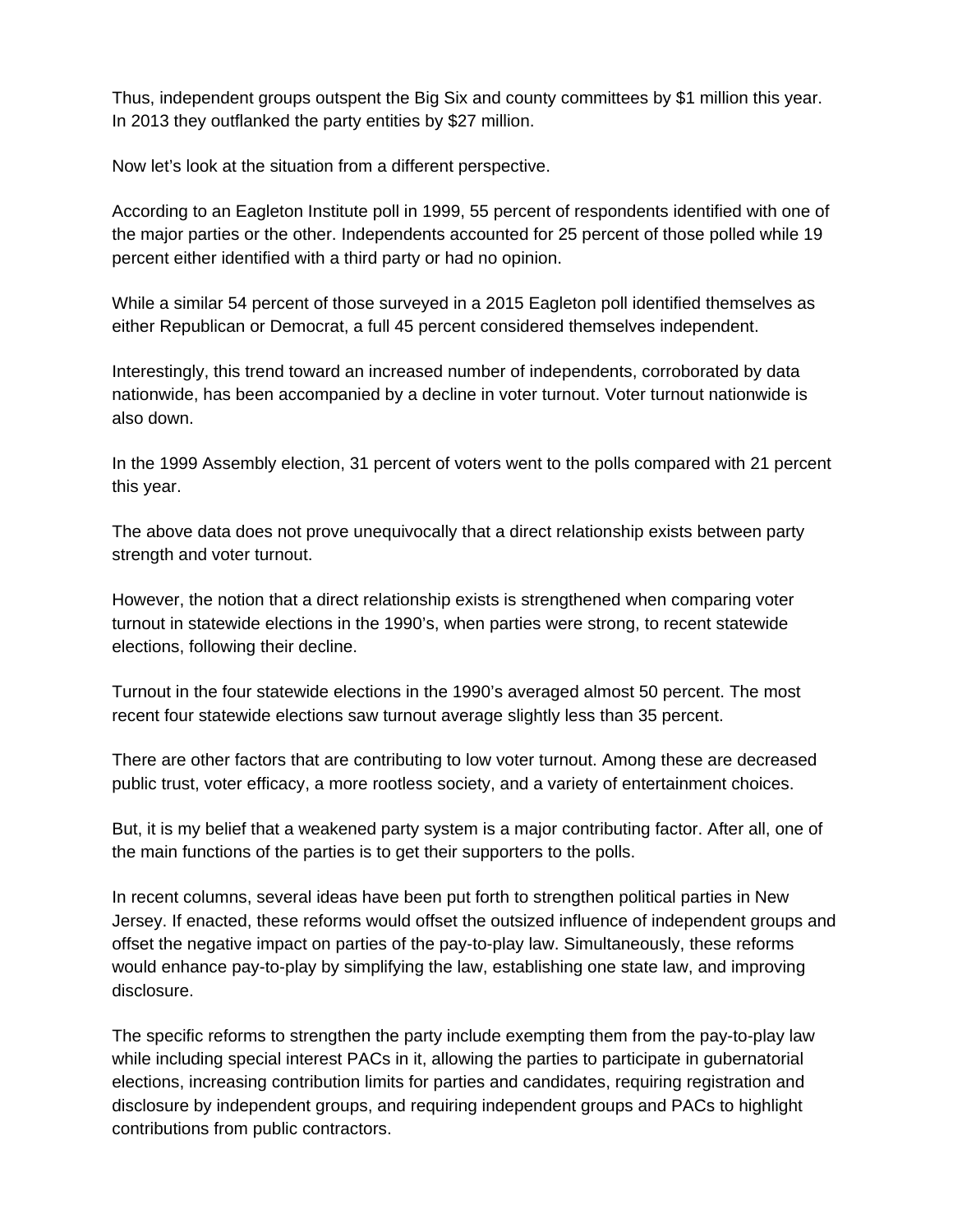Thus, independent groups outspent the Big Six and county committees by \$1 million this year. In 2013 they outflanked the party entities by \$27 million.

Now let's look at the situation from a different perspective.

According to an Eagleton Institute poll in 1999, 55 percent of respondents identified with one of the major parties or the other. Independents accounted for 25 percent of those polled while 19 percent either identified with a third party or had no opinion.

While a similar 54 percent of those surveyed in a 2015 Eagleton poll identified themselves as either Republican or Democrat, a full 45 percent considered themselves independent.

Interestingly, this trend toward an increased number of independents, corroborated by data nationwide, has been accompanied by a decline in voter turnout. Voter turnout nationwide is also down.

In the 1999 Assembly election, 31 percent of voters went to the polls compared with 21 percent this year.

The above data does not prove unequivocally that a direct relationship exists between party strength and voter turnout.

However, the notion that a direct relationship exists is strengthened when comparing voter turnout in statewide elections in the 1990's, when parties were strong, to recent statewide elections, following their decline.

Turnout in the four statewide elections in the 1990's averaged almost 50 percent. The most recent four statewide elections saw turnout average slightly less than 35 percent.

There are other factors that are contributing to low voter turnout. Among these are decreased public trust, voter efficacy, a more rootless society, and a variety of entertainment choices.

But, it is my belief that a weakened party system is a major contributing factor. After all, one of the main functions of the parties is to get their supporters to the polls.

In recent columns, several ideas have been put forth to strengthen political parties in New Jersey. If enacted, these reforms would offset the outsized influence of independent groups and offset the negative impact on parties of the pay-to-play law. Simultaneously, these reforms would enhance pay-to-play by simplifying the law, establishing one state law, and improving disclosure.

The specific reforms to strengthen the party include exempting them from the pay-to-play law while including special interest PACs in it, allowing the parties to participate in gubernatorial elections, increasing contribution limits for parties and candidates, requiring registration and disclosure by independent groups, and requiring independent groups and PACs to highlight contributions from public contractors.